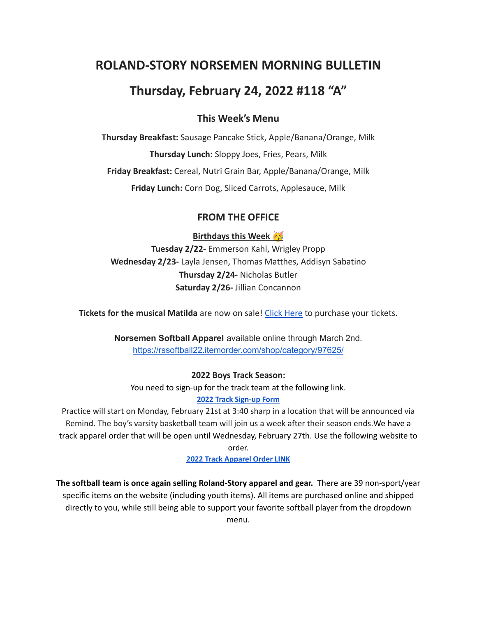# **ROLAND-STORY NORSEMEN MORNING BULLETIN**

# **Thursday, February 24, 2022 #118 "A"**

## **This Week's Menu**

**Thursday Breakfast:** Sausage Pancake Stick, Apple/Banana/Orange, Milk **Thursday Lunch:** Sloppy Joes, Fries, Pears, Milk **Friday Breakfast:** Cereal, Nutri Grain Bar, Apple/Banana/Orange, Milk **Friday Lunch:** Corn Dog, Sliced Carrots, Applesauce, Milk

# **FROM THE OFFICE**

**Birthdays this Week** 

**Tuesday 2/22-** Emmerson Kahl, Wrigley Propp **Wednesday 2/23-** Layla Jensen, Thomas Matthes, Addisyn Sabatino **Thursday 2/24-** Nicholas Butler **Saturday 2/26-** Jillian Concannon

**Tickets for the musical Matilda** are now on sale! Click [Here](https://events.ticketspicket.com/agency/a61f75f7-997a-4241-b0ab-0eae5600323f) to purchase your tickets.

**Norsemen Softball Apparel** available online through March 2nd. <https://rssoftball22.itemorder.com/shop/category/97625/>

#### **2022 Boys Track Season:**

You need to sign-up for the track team at the following link.

**[2022 Track Sign-up Form](https://forms.gle/cJrfdfow4pRoh9sw6)**

Practice will start on Monday, February 21st at 3:40 sharp in a location that will be announced via Remind. The boy's varsity basketball team will join us a week after their season ends.We have a track apparel order that will be open until Wednesday, February 27th. Use the following website to

order.

**[2022 Track Apparel Order LINK](https://rstrack22.itemorder.com/shop/sale/)**

**The softball team is once again selling Roland-Story apparel and gear.** There are 39 non-sport/year specific items on the website (including youth items). All items are purchased online and shipped directly to you, while still being able to support your favorite softball player from the dropdown menu.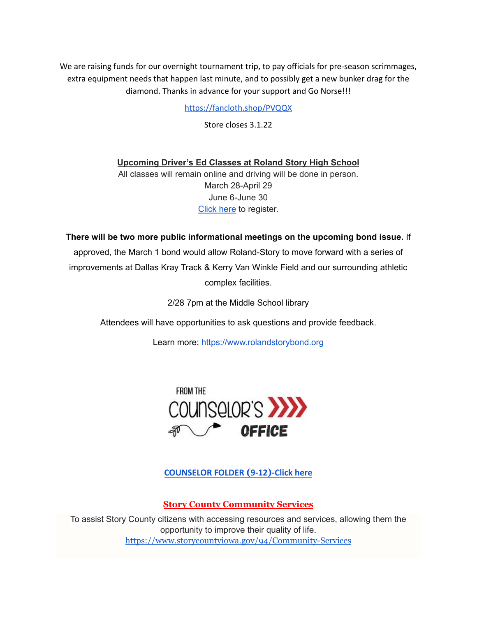We are raising funds for our overnight tournament trip, to pay officials for pre-season scrimmages, extra equipment needs that happen last minute, and to possibly get a new bunker drag for the diamond. Thanks in advance for your support and Go Norse!!!

<https://fancloth.shop/PVQQX>

Store closes 3.1.22

**Upcoming Driver's Ed Classes at Roland Story High School**

All classes will remain online and driving will be done in person. March 28-April 29 June 6-June 30 [Click](http://streetsmartsdriversed.com/) here to register.

**There will be two more public informational meetings on the upcoming bond issue.** If

approved, the March 1 bond would allow Roland-Story to move forward with a series of improvements at Dallas Kray Track & Kerry Van Winkle Field and our surrounding athletic complex facilities.

2/28 7pm at the Middle School library

Attendees will have opportunities to ask questions and provide feedback.

Learn more: [https://www.rolandstorybond.org](https://www.rolandstorybond.org/?fbclid=IwAR3AJHhy8S8KvQsof-Z44UTrIBXDkOZFSdMyUXMovrg0bH3FkvkTprNkFuM)



**[COUNSELOR FOLDER](https://docs.google.com/document/d/1vmwczNPbDzXe9vFaG5LJMQ7NYDv-i4oQJHybqA65TUc/edit?usp=sharing) (9-12)-Click here**

**Story County Community Services**

To assist Story County citizens with accessing resources and services, allowing them the opportunity to improve their quality of life. <https://www.storycountyiowa.gov/94/Community-Services>